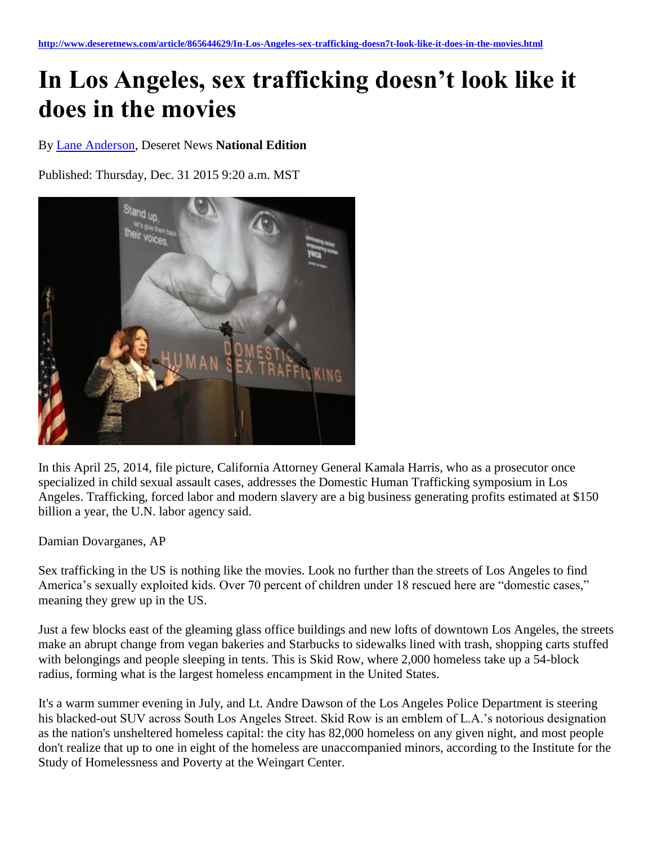## **In Los Angeles, sex trafficking doesn't look like it does in the movies**

By [Lane Anderson,](http://www.deseretnews.com/author/23104/Lane-Anderson.html) Deseret News **National Edition**

Published: Thursday, Dec. 31 2015 9:20 a.m. MST



In this April 25, 2014, file picture, California Attorney General Kamala Harris, who as a prosecutor once specialized in child sexual assault cases, addresses the Domestic Human Trafficking symposium in Los Angeles. Trafficking, forced labor and modern slavery are a big business generating profits estimated at \$150 billion a year, the U.N. labor agency said.

Damian Dovarganes, AP

Sex trafficking in the US is nothing like the movies. Look no further than the streets of Los Angeles to find America's sexually exploited kids. Over 70 percent of children under 18 rescued here are "domestic cases," meaning they grew up in the US.

Just a few blocks east of the gleaming glass office buildings and new lofts of downtown Los Angeles, the streets make an abrupt change from vegan bakeries and Starbucks to sidewalks lined with trash, shopping carts stuffed with belongings and people sleeping in tents. This is Skid Row, where 2,000 homeless take up a 54-block radius, forming what is the largest homeless encampment in the United States.

It's a warm summer evening in July, and Lt. Andre Dawson of the Los Angeles Police Department is steering his blacked-out SUV across South Los Angeles Street. Skid Row is an emblem of L.A.'s notorious designation as the nation's unsheltered homeless capital: the city has 82,000 homeless on any given night, and most people don't realize that up to one in eight of the homeless are unaccompanied minors, according to the Institute for the Study of Homelessness and Poverty at the Weingart Center.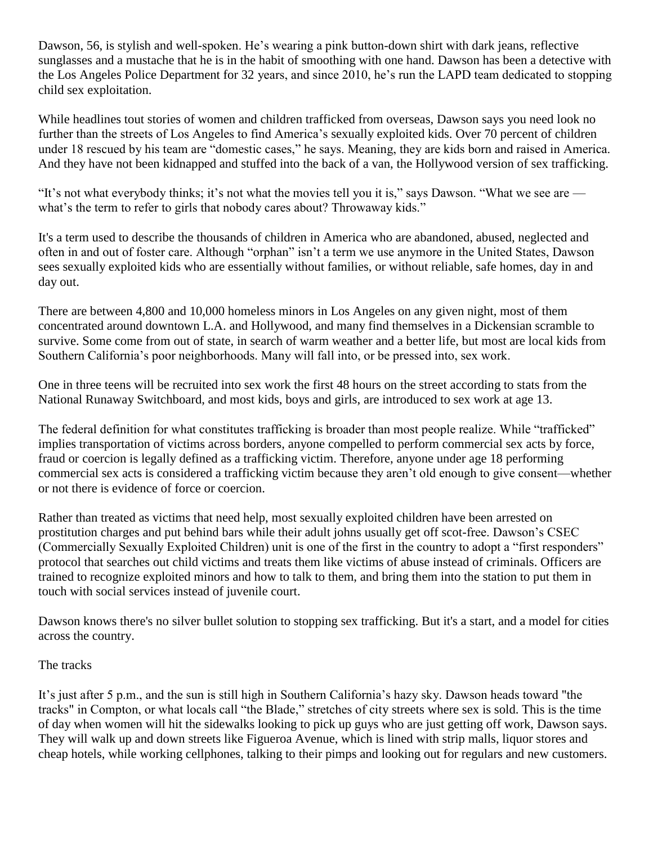Dawson, 56, is stylish and well-spoken. He's wearing a pink button-down shirt with dark jeans, reflective sunglasses and a mustache that he is in the habit of smoothing with one hand. Dawson has been a detective with the Los Angeles Police Department for 32 years, and since 2010, he's run the LAPD team dedicated to stopping child sex exploitation.

While headlines tout stories of women and children trafficked from overseas, Dawson says you need look no further than the streets of Los Angeles to find America's sexually exploited kids. Over 70 percent of children under 18 rescued by his team are "domestic cases," he says. Meaning, they are kids born and raised in America. And they have not been kidnapped and stuffed into the back of a van, the Hollywood version of sex trafficking.

"It's not what everybody thinks; it's not what the movies tell you it is," says Dawson. "What we see are what's the term to refer to girls that nobody cares about? Throwaway kids."

It's a term used to describe the thousands of children in America who are abandoned, abused, neglected and often in and out of foster care. Although "orphan" isn't a term we use anymore in the United States, Dawson sees sexually exploited kids who are essentially without families, or without reliable, safe homes, day in and day out.

There are between 4,800 and 10,000 homeless minors in Los Angeles on any given night, most of them concentrated around downtown L.A. and Hollywood, and many find themselves in a Dickensian scramble to survive. Some come from out of state, in search of warm weather and a better life, but most are local kids from Southern California's poor neighborhoods. Many will fall into, or be pressed into, sex work.

One in three teens will be recruited into sex work the first 48 hours on the street according to stats from the National Runaway Switchboard, and most kids, boys and girls, are introduced to sex work at age 13.

The federal definition for what constitutes trafficking is broader than most people realize. While "trafficked" implies transportation of victims across borders, anyone compelled to perform commercial sex acts by force, fraud or coercion is legally defined as a trafficking victim. Therefore, anyone under age 18 performing commercial sex acts is considered a trafficking victim because they aren't old enough to give consent—whether or not there is evidence of force or coercion.

Rather than treated as victims that need help, most sexually exploited children have been arrested on prostitution charges and put behind bars while their adult johns usually get off scot-free. Dawson's CSEC (Commercially Sexually Exploited Children) unit is one of the first in the country to adopt a "first responders" protocol that searches out child victims and treats them like victims of abuse instead of criminals. Officers are trained to recognize exploited minors and how to talk to them, and bring them into the station to put them in touch with social services instead of juvenile court.

Dawson knows there's no silver bullet solution to stopping sex trafficking. But it's a start, and a model for cities across the country.

## The tracks

It's just after 5 p.m., and the sun is still high in Southern California's hazy sky. Dawson heads toward "the tracks" in Compton, or what locals call "the Blade," stretches of city streets where sex is sold. This is the time of day when women will hit the sidewalks looking to pick up guys who are just getting off work, Dawson says. They will walk up and down streets like Figueroa Avenue, which is lined with strip malls, liquor stores and cheap hotels, while working cellphones, talking to their pimps and looking out for regulars and new customers.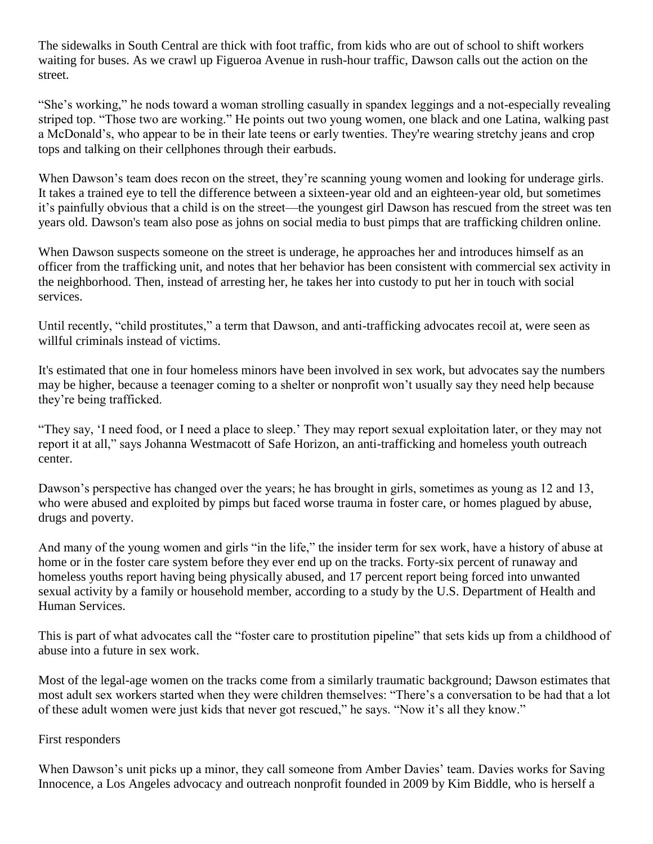The sidewalks in South Central are thick with foot traffic, from kids who are out of school to shift workers waiting for buses. As we crawl up Figueroa Avenue in rush-hour traffic, Dawson calls out the action on the street.

"She's working," he nods toward a woman strolling casually in spandex leggings and a not-especially revealing striped top. "Those two are working." He points out two young women, one black and one Latina, walking past a McDonald's, who appear to be in their late teens or early twenties. They're wearing stretchy jeans and crop tops and talking on their cellphones through their earbuds.

When Dawson's team does recon on the street, they're scanning young women and looking for underage girls. It takes a trained eye to tell the difference between a sixteen-year old and an eighteen-year old, but sometimes it's painfully obvious that a child is on the street—the youngest girl Dawson has rescued from the street was ten years old. Dawson's team also pose as johns on social media to bust pimps that are trafficking children online.

When Dawson suspects someone on the street is underage, he approaches her and introduces himself as an officer from the trafficking unit, and notes that her behavior has been consistent with commercial sex activity in the neighborhood. Then, instead of arresting her, he takes her into custody to put her in touch with social services.

Until recently, "child prostitutes," a term that Dawson, and anti-trafficking advocates recoil at, were seen as willful criminals instead of victims.

It's estimated that one in four homeless minors have been involved in sex work, but advocates say the numbers may be higher, because a teenager coming to a shelter or nonprofit won't usually say they need help because they're being trafficked.

"They say, 'I need food, or I need a place to sleep.' They may report sexual exploitation later, or they may not report it at all," says Johanna Westmacott of Safe Horizon, an anti-trafficking and homeless youth outreach center.

Dawson's perspective has changed over the years; he has brought in girls, sometimes as young as 12 and 13, who were abused and exploited by pimps but faced worse trauma in foster care, or homes plagued by abuse, drugs and poverty.

And many of the young women and girls "in the life," the insider term for sex work, have a history of abuse at home or in the foster care system before they ever end up on the tracks. Forty-six percent of runaway and homeless youths report having being physically abused, and 17 percent report being forced into unwanted sexual activity by a family or household member, according to a study by the U.S. Department of Health and Human Services.

This is part of what advocates call the "foster care to prostitution pipeline" that sets kids up from a childhood of abuse into a future in sex work.

Most of the legal-age women on the tracks come from a similarly traumatic background; Dawson estimates that most adult sex workers started when they were children themselves: "There's a conversation to be had that a lot of these adult women were just kids that never got rescued," he says. "Now it's all they know."

## First responders

When Dawson's unit picks up a minor, they call someone from Amber Davies' team. Davies works for Saving Innocence, a Los Angeles advocacy and outreach nonprofit founded in 2009 by Kim Biddle, who is herself a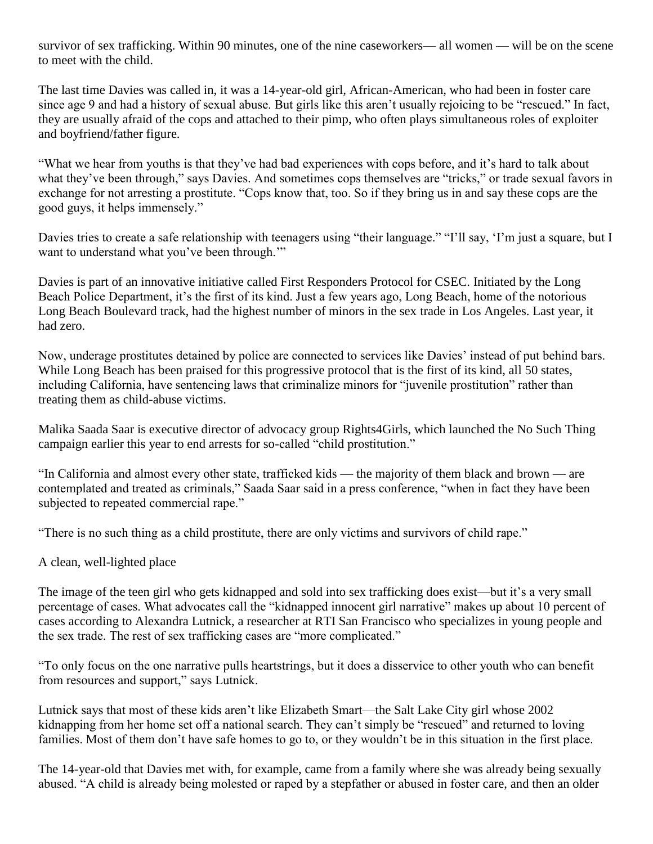survivor of sex trafficking. Within 90 minutes, one of the nine caseworkers— all women — will be on the scene to meet with the child.

The last time Davies was called in, it was a 14-year-old girl, African-American, who had been in foster care since age 9 and had a history of sexual abuse. But girls like this aren't usually rejoicing to be "rescued." In fact, they are usually afraid of the cops and attached to their pimp, who often plays simultaneous roles of exploiter and boyfriend/father figure.

"What we hear from youths is that they've had bad experiences with cops before, and it's hard to talk about what they've been through," says Davies. And sometimes cops themselves are "tricks," or trade sexual favors in exchange for not arresting a prostitute. "Cops know that, too. So if they bring us in and say these cops are the good guys, it helps immensely."

Davies tries to create a safe relationship with teenagers using "their language." "I'll say, 'I'm just a square, but I want to understand what you've been through."

Davies is part of an innovative initiative called First Responders Protocol for CSEC. Initiated by the Long Beach Police Department, it's the first of its kind. Just a few years ago, Long Beach, home of the notorious Long Beach Boulevard track, had the highest number of minors in the sex trade in Los Angeles. Last year, it had zero.

Now, underage prostitutes detained by police are connected to services like Davies' instead of put behind bars. While Long Beach has been praised for this progressive protocol that is the first of its kind, all 50 states, including California, have sentencing laws that criminalize minors for "juvenile prostitution" rather than treating them as child-abuse victims.

Malika Saada Saar is executive director of advocacy group Rights4Girls, which launched the No Such Thing campaign earlier this year to end arrests for so-called "child prostitution."

"In California and almost every other state, trafficked kids — the majority of them black and brown — are contemplated and treated as criminals," Saada Saar said in a press conference, "when in fact they have been subjected to repeated commercial rape."

"There is no such thing as a child prostitute, there are only victims and survivors of child rape."

A clean, well-lighted place

The image of the teen girl who gets kidnapped and sold into sex trafficking does exist—but it's a very small percentage of cases. What advocates call the "kidnapped innocent girl narrative" makes up about 10 percent of cases according to Alexandra Lutnick, a researcher at RTI San Francisco who specializes in young people and the sex trade. The rest of sex trafficking cases are "more complicated."

"To only focus on the one narrative pulls heartstrings, but it does a disservice to other youth who can benefit from resources and support," says Lutnick.

Lutnick says that most of these kids aren't like Elizabeth Smart—the Salt Lake City girl whose 2002 kidnapping from her home set off a national search. They can't simply be "rescued" and returned to loving families. Most of them don't have safe homes to go to, or they wouldn't be in this situation in the first place.

The 14-year-old that Davies met with, for example, came from a family where she was already being sexually abused. "A child is already being molested or raped by a stepfather or abused in foster care, and then an older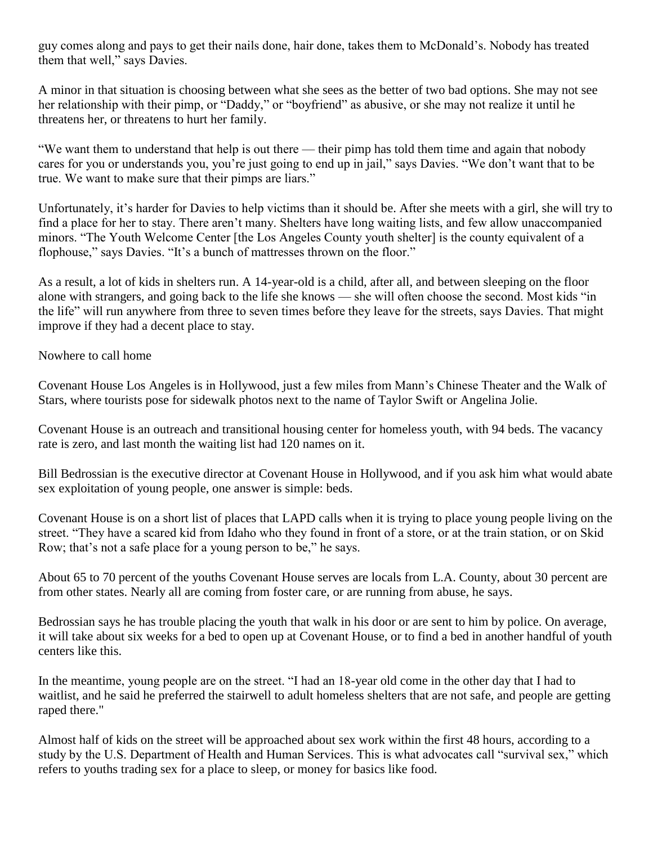guy comes along and pays to get their nails done, hair done, takes them to McDonald's. Nobody has treated them that well," says Davies.

A minor in that situation is choosing between what she sees as the better of two bad options. She may not see her relationship with their pimp, or "Daddy," or "boyfriend" as abusive, or she may not realize it until he threatens her, or threatens to hurt her family.

"We want them to understand that help is out there — their pimp has told them time and again that nobody cares for you or understands you, you're just going to end up in jail," says Davies. "We don't want that to be true. We want to make sure that their pimps are liars."

Unfortunately, it's harder for Davies to help victims than it should be. After she meets with a girl, she will try to find a place for her to stay. There aren't many. Shelters have long waiting lists, and few allow unaccompanied minors. "The Youth Welcome Center [the Los Angeles County youth shelter] is the county equivalent of a flophouse," says Davies. "It's a bunch of mattresses thrown on the floor."

As a result, a lot of kids in shelters run. A 14-year-old is a child, after all, and between sleeping on the floor alone with strangers, and going back to the life she knows — she will often choose the second. Most kids "in the life" will run anywhere from three to seven times before they leave for the streets, says Davies. That might improve if they had a decent place to stay.

Nowhere to call home

Covenant House Los Angeles is in Hollywood, just a few miles from Mann's Chinese Theater and the Walk of Stars, where tourists pose for sidewalk photos next to the name of Taylor Swift or Angelina Jolie.

Covenant House is an outreach and transitional housing center for homeless youth, with 94 beds. The vacancy rate is zero, and last month the waiting list had 120 names on it.

Bill Bedrossian is the executive director at Covenant House in Hollywood, and if you ask him what would abate sex exploitation of young people, one answer is simple: beds.

Covenant House is on a short list of places that LAPD calls when it is trying to place young people living on the street. "They have a scared kid from Idaho who they found in front of a store, or at the train station, or on Skid Row; that's not a safe place for a young person to be," he says.

About 65 to 70 percent of the youths Covenant House serves are locals from L.A. County, about 30 percent are from other states. Nearly all are coming from foster care, or are running from abuse, he says.

Bedrossian says he has trouble placing the youth that walk in his door or are sent to him by police. On average, it will take about six weeks for a bed to open up at Covenant House, or to find a bed in another handful of youth centers like this.

In the meantime, young people are on the street. "I had an 18-year old come in the other day that I had to waitlist, and he said he preferred the stairwell to adult homeless shelters that are not safe, and people are getting raped there."

Almost half of kids on the street will be approached about sex work within the first 48 hours, according to a study by the U.S. Department of Health and Human Services. This is what advocates call "survival sex," which refers to youths trading sex for a place to sleep, or money for basics like food.